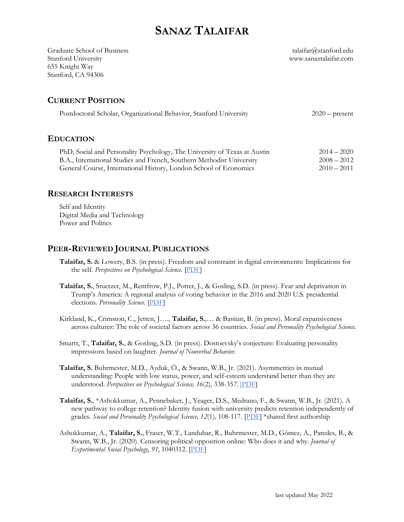# **SANAZ TALAIFAR**

Graduate School of Business talaifar and the state of Business talaifar and talaifar and talaifar and talaifar Stanford University www.sanaztalaifar.com 655 Knight Way Stanford, CA 94306

**CURRENT POSITION**

| Postdoctoral Scholar, Organizational Behavior, Stanford University        | $2020$ – present |  |
|---------------------------------------------------------------------------|------------------|--|
| <b>EDUCATION</b>                                                          |                  |  |
| PhD, Social and Personality Psychology, The University of Texas at Austin | $2014 - 2020$    |  |
| B.A. International Studies and French, Southern Methodist University      | $2008 - 2012$    |  |

# B.A., International Studies and French, Southern Methodist University 2008 – 2012 General Course, International History, London School of Economics 2010 – 2011

# **RESEARCH INTERESTS**

Self and Identity Digital Media and Technology Power and Politics

# **PEER-REVIEWED JOURNAL PUBLICATIONS**

- **Talaifar, S.** & Lowery, B.S. (in press). Freedom and constraint in digital environments: Implications for the self. *Perspectives on Psychological Science.* [\[PDF\]](https://fb78ec85-c48c-4f57-a7ca-37aef4277cdf.filesusr.com/ugd/ce993c_dbbf7c4276bd4a89bed9e6915d7758b2.pdf)
- **Talaifar, S.**, Stuetzer, M., Rentfrow, P.J., Potter, J., & Gosling, S.D. (in press). Fear and deprivation in Trump's America: A regional analysis of voting behavior in the 2016 and 2020 U.S. presidential elections. *Personality Science*. [\[PDF\]](https://psyarxiv.com/mw4xn)
- Kirkland, K., Crimston, C., Jetten, J…., **Talaifar, S.**,… & Bastian, B. (in press). Moral expansiveness across cultures: The role of societal factors across 36 countries. *Social and Personality Psychological Science.*
- Smartt, T., **Talaifar, S.**, & Gosling, S.D. (in press). Dostoevsky's conjecture: Evaluating personality impressions based on laughter. *Journal of Nonverbal Behavior*.
- **Talaifar, S.** Buhrmester, M.D., Ayduk, Ö., & Swann, W.B., Jr. (2021). Asymmetries in mutual understanding: People with low status, power, and self-esteem understand better than they are understood. *Perspectives on Psychological Science, 16*(2), 338-35*7*. [\[PDF\]](https://fb78ec85-c48c-4f57-a7ca-37aef4277cdf.filesusr.com/ugd/ce993c_1ba19844ec6e4a278fc9c3dc1fd35f61.pdf)
- **Talaifar, S.**, \*Ashokkumar, A., Pennebaker, J., Yeager, D.S., Medrano, F., & Swann, W.B., Jr. (2021). A new pathway to college retention? Identity fusion with university predicts retention independently of grades*. Social and Personality Psychological Science, 12*(1), 108-117. [\[PDF\]](https://fb78ec85-c48c-4f57-a7ca-37aef4277cdf.filesusr.com/ugd/ce993c_13fcb37021d74178893e0cf893e238ca.pdf) \*shared first authorship
- Ashokkumar, A., **Talaifar, S.**, Fraser, W.T., Landubar, R., Buhrmester, M.D., Gómez, A., Paredes, B., & Swann, W.B., Jr. (2020). Censoring political opposition online: Who does it and why. *Journal of Experimental Social Psychology*, *91*, 1040312. [\[PDF\]](https://fb78ec85-c48c-4f57-a7ca-37aef4277cdf.filesusr.com/ugd/ce993c_e2e6e18862e847df9687fb59455cafa3.pdf)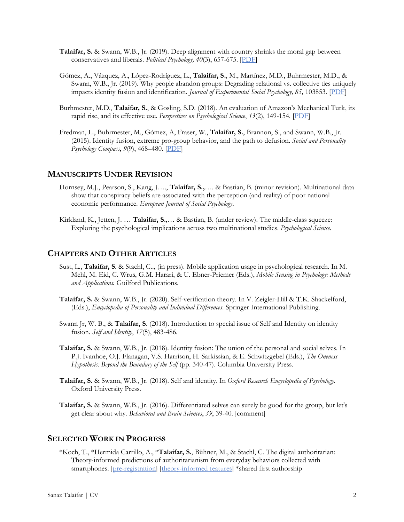- **Talaifar, S.** & Swann, W.B., Jr. (2019). Deep alignment with country shrinks the moral gap between conservatives and liberals. *Political Psychology, 40*(3), 657-675. [\[PDF\]](http://labs.la.utexas.edu/swann/files/2019/08/Talaifar-Swann-2019.pdf)
- Gómez, A., Vázquez, A., López-Rodríguez, L., **Talaifar, S.**, M., Martínez, M.D., Buhrmester, M.D., & Swann, W.B., Jr. (2019). Why people abandon groups: Degrading relational vs. collective ties uniquely impacts identity fusion and identification. *Journal of Experimental Social Psychology, 85,* 103853. [\[PDF\]](http://files.identityfusion-org5.webnode.es/200000209-d36a9d36ab/53_Gomez_etal_(2019)%20(1).pdf)
- Burhmester, M.D., **Talaifar, S.**, & Gosling, S.D. (2018). An evaluation of Amazon's Mechanical Turk, its rapid rise, and its effective use. *Perspectives on Psychological Science*, *13*(2), 149-154. [\[PDF\]](https://fb78ec85-c48c-4f57-a7ca-37aef4277cdf.filesusr.com/ugd/ce993c_9e98fad9d1d24679a4417eedd48dcc2d.pdf)
- Fredman, L., Buhrmester, M., Gómez, A, Fraser, W., **Talaifar, S.**, Brannon, S., and Swann, W.B., Jr. (2015). Identity fusion, extreme pro-group behavior, and the path to defusion. *Social and Personality Psychology Compass*, *9*(9), 468–480. [\[PDF\]](http://labs.la.utexas.edu/swann/files/2016/03/compass.pdf)

#### **MANUSCRIPTS UNDER REVISION**

- Hornsey, M.J., Pearson, S., Kang, J…., **Talaifar, S.,**…. & Bastian, B. (minor revision). Multinational data show that conspiracy beliefs are associated with the perception (and reality) of poor national economic performance. *European Journal of Social Psychology*.
- Kirkland, K., Jetten, J. … **Talaifar, S.**,… & Bastian, B. (under review). The middle-class squeeze: Exploring the psychological implications across two multinational studies. *Psychological Science.*

#### **CHAPTERS AND OTHER ARTICLES**

- Sust, L., **Talaifar, S**. & Stachl, C.., (in press). Mobile application usage in psychological research. In M. Mehl, M. Eid, C. Wrus, G.M. Harari, & U. Ebner-Priemer (Eds.), *Mobile Sensing in Psychology: Methods and Applications.* Guilford Publications.
- **Talaifar, S.** & Swann, W.B., Jr. (2020). Self-verification theory. In V. Zeigler-Hill & T.K. Shackelford, (Eds.), *Encyclopedia of Personality and Individual Differences*. Springer International Publishing.
- Swann Jr, W. B., & **Talaifar, S.** (2018). Introduction to special issue of Self and Identity on identity fusion. *Self and Identity*, *17*(5), 483-486.
- **Talaifar, S.** & Swann, W.B., Jr. (2018). Identity fusion: The union of the personal and social selves. In P.J. Ivanhoe, O.J. Flanagan, V.S. Harrison, H. Sarkissian, & E. Schwitzgebel (Eds.), *The Oneness Hypothesis: Beyond the Boundary of the Self* (pp. 340-47). Columbia University Press.
- **Talaifar, S.** & Swann, W.B., Jr. (2018). Self and identity. In *Oxford Research Encyclopedia of Psychology*. Oxford University Press.
- **Talaifar, S.** & Swann, W.B., Jr. (2016). Differentiated selves can surely be good for the group, but let's get clear about why. *Behavioral and Brain Sciences*, *39*, 39-40. [comment]

### **SELECTED WORK IN PROGRESS**

\*Koch, T., \*Hermida Carrillo, A., \***Talaifar, S.**, Bühner, M., & Stachl, C. The digital authoritarian: Theory-informed predictions of authoritarianism from everyday behaviors collected with smartphones. [\[pre-registration\]](https://pada.psycharchives.org/bitstream/f3b7f9a5-eadf-4a4f-8fc6-3cd9b2b9afe6) [\[theory-informed](https://pada.psycharchives.org/bitstream/c72c45d6-eee8-4265-a7aa-e1313ccee671) features] \*shared first authorship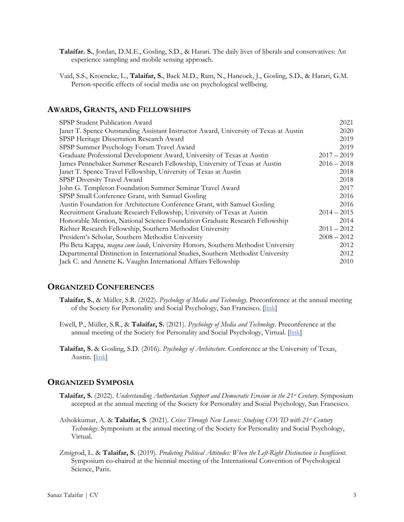- **Talaifar. S.**, Jordan, D.M.E., Gosling, S.D., & Harari. The daily lives of liberals and conservatives: An experience sampling and mobile sensing approach.
- Vaid, S.S., Kroencke, L., **Talaifar, S.**, Back M.D., Ram, N., Hancock, J., Gosling, S.D., & Harari, G.M. Person-specific effects of social media use on psychological wellbeing.

#### **AWARDS, GRANTS, AND FELLOWSHIPS**

| SPSP Student Publication Award                                                        | 2021          |
|---------------------------------------------------------------------------------------|---------------|
| Janet T. Spence Outstanding Assistant Instructor Award, University of Texas at Austin | 2020          |
| SPSP Heritage Dissertation Research Award                                             | 2019          |
| SPSP Summer Psychology Forum Travel Award                                             | 2019          |
| Graduate Professional Development Award, University of Texas at Austin                | $2017 - 2019$ |
| James Pennebaker Summer Research Fellowship, University of Texas at Austin            | $2016 - 2018$ |
| Janet T. Spence Travel Fellowship, University of Texas at Austin                      | 2018          |
| SPSP Diversity Travel Award                                                           | 2018          |
| John G. Templeton Foundation Summer Seminar Travel Award                              | 2017          |
| SPSP Small Conference Grant, with Samuel Gosling                                      | 2016          |
| Austin Foundation for Architecture Conference Grant, with Samuel Gosling              | 2016          |
| Recruitment Graduate Research Fellowship, University of Texas at Austin               | $2014 - 2015$ |
| Honorable Mention, National Science Foundation Graduate Research Fellowship           | 2014          |
| Richter Research Fellowship, Southern Methodist University                            | $2011 - 2012$ |
| President's Scholar, Southern Methodist University                                    | $2008 - 2012$ |
| Phi Beta Kappa, magna cum laude, University Honors, Southern Methodist University     | 2012          |
| Departmental Distinction in International Studies, Southern Methodist University      | 2012          |
| Jack C. and Annette K. Vaughn International Affairs Fellowship                        | 2010          |

# **ORGANIZED CONFERENCES**

- **Talaifar, S.**, & Müller, S.R. (2022). *Psychology of Media and Technology*. Preconference at the annual meeting of the Society for Personality and Social Psychology, San Francisco. [\[link\]](https://meeting.spsp.org/preconferences/psychology-of-media-and-technology)
- Ewell, P., Müller, S.R., & **Talaifar, S.** (2021). *Psychology of Media and Technology*. Preconference at the annual meeting of the Society for Personality and Social Psychology, Virtual. [\[link\]](https://meeting.spsp.org/2021/preconferences/psychology-of-media-and-technology)
- **Talaifar, S.** & Gosling, S.D. (2016). *Psychology of Architecture*. Conference at the University of Texas, Austin. [\[link\]](https://www.psychologyofarchitecture.org/)

#### **ORGANIZED SYMPOSIA**

- **Talaifar, S.** (2022). *Understanding Authoritarian Support and Democratic Erosion in the 21st Century*. Symposium accepted at the annual meeting of the Society for Personality and Social Psychology, San Francisco.
- Ashokkumar, A. & **Talaifar, S**. (2021). *Crises Through New Lenses: Studying COVID with 21st Century Technology*. Symposium at the annual meeting of the Society for Personality and Social Psychology, Virtual.
- Zmigrod, L. & **Talaifar, S.** (2019). *Predicting Political Attitudes: When the Left-Right Distinction is Insufficient*. Symposium co-chaired at the biennial meeting of the International Convention of Psychological Science, Paris.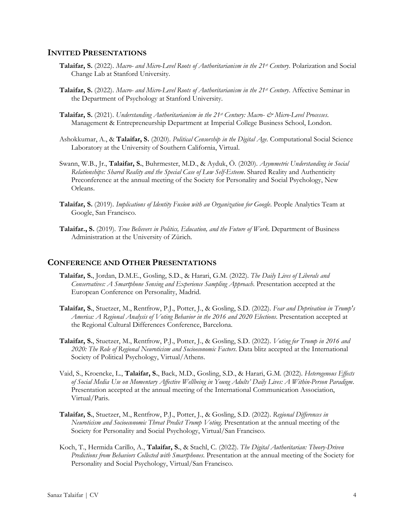#### **INVITED PRESENTATIONS**

- **Talaifar, S.** (2022). *Macro- and Micro-Level Roots of Authoritarianism in the 21st Century*. Polarization and Social Change Lab at Stanford University.
- **Talaifar, S.** (2022). *Macro- and Micro-Level Roots of Authoritarianism in the 21st Century*. Affective Seminar in the Department of Psychology at Stanford University.
- **Talaifar, S.** (2021). *Understanding Authoritarianism in the 21st Century: Macro- & Micro-Level Processes*. Management & Entrepreneurship Department at Imperial College Business School, London.
- Ashokkumar, A., & **Talaifar, S.** (2020). *Political Censorship in the Digital Age*. Computational Social Science Laboratory at the University of Southern California, Virtual.
- Swann, W.B., Jr., **Talaifar, S.**, Buhrmester, M.D., & Ayduk, Ö. (2020). *Asymmetric Understanding in Social Relationships: Shared Reality and the Special Case of Low Self-Esteem*. Shared Reality and Authenticity Preconference at the annual meeting of the Society for Personality and Social Psychology, New Orleans.
- **Talaifar, S.** (2019). *Implications of Identity Fusion with an Organization for Google*. People Analytics Team at Google, San Francisco.
- **Talaifar., S.** (2019). *True Believers in Politics, Education, and the Future of Work*. Department of Business Administration at the University of Zürich.

#### **CONFERENCE AND OTHER PRESENTATIONS**

- **Talaifar, S.**, Jordan, D.M.E., Gosling, S.D., & Harari, G.M. (2022). *The Daily Lives of Liberals and Conservatives: A Smartphone Sensing and Experience Sampling Approach*. Presentation accepted at the European Conference on Personality, Madrid.
- **Talaifar, S.**, Stuetzer, M., Rentfrow, P.J., Potter, J., & Gosling, S.D. (2022). *Fear and Deprivation in Trump's America: A Regional Analysis of Voting Behavior in the 2016 and 2020 Elections*. Presentation accepted at the Regional Cultural Differences Conference, Barcelona.
- **Talaifar, S.**, Stuetzer, M., Rentfrow, P.J., Potter, J., & Gosling, S.D. (2022). *Voting for Trump in 2016 and 2020: The Role of Regional Neuroticism and Socioeconomic Factors*. Data blitz accepted at the International Society of Political Psychology, Virtual/Athens.
- Vaid, S., Kroencke, L., **Talaifar, S.**, Back, M.D., Gosling, S.D., & Harari, G.M. (2022). *Heterogenous Effects of Social Media Use on Momentary Affective Wellbeing in Young Adults' Daily Lives: A Within-Person Paradigm*. Presentation accepted at the annual meeting of the International Communication Association, Virtual/Paris.
- **Talaifar, S.**, Stuetzer, M., Rentfrow, P.J., Potter, J., & Gosling, S.D. (2022). *Regional Differences in Neuroticism and Socioeconomic Threat Predict Trump Voting*. Presentation at the annual meeting of the Society for Personality and Social Psychology, Virtual/San Francisco.
- Koch, T., Hermida Carillo, A., **Talaifar, S.**, & Stachl, C. (2022). *The Digital Authoritarian: Theory-Driven Predictions from Behaviors Collected with Smartphones*. Presentation at the annual meeting of the Society for Personality and Social Psychology, Virtual/San Francisco.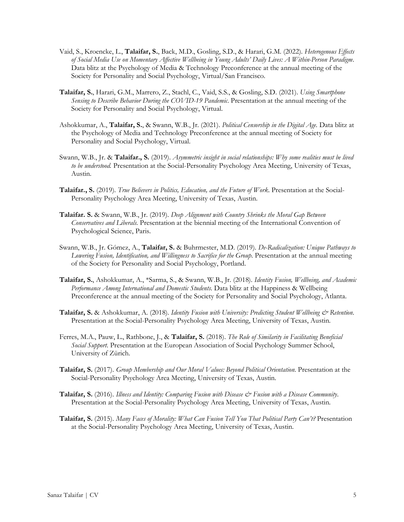- Vaid, S., Kroencke, L., **Talaifar, S.**, Back, M.D., Gosling, S.D., & Harari, G.M. (2022). *Heterogenous Effects of Social Media Use on Momentary Affective Wellbeing in Young Adults' Daily Lives: A Within-Person Paradigm*. Data blitz at the Psychology of Media & Technology Preconference at the annual meeting of the Society for Personality and Social Psychology, Virtual/San Francisco.
- **Talaifar, S.**, Harari, G.M., Marrero, Z., Stachl, C., Vaid, S.S., & Gosling, S.D. (2021). *Using Smartphone Sensing to Describe Behavior During the COVID-19 Pandemic*. Presentation at the annual meeting of the Society for Personality and Social Psychology, Virtual.
- Ashokkumar, A., **Talaifar, S.**, & Swann, W.B., Jr. (2021). *Political Censorship in the Digital Age.* Data blitz at the Psychology of Media and Technology Preconference at the annual meeting of Society for Personality and Social Psychology, Virtual.
- Swann, W.B., Jr. & **Talaifar., S.** (2019). *Asymmetric insight in social relationships: Why some realities must be lived to be understood.* Presentation at the Social-Personality Psychology Area Meeting, University of Texas, Austin.
- **Talaifar., S.** (2019). *True Believers in Politics, Education, and the Future of Work*. Presentation at the Social-Personality Psychology Area Meeting, University of Texas, Austin.
- **Talaifar. S.** & Swann, W.B., Jr. (2019). *Deep Alignment with Country Shrinks the Moral Gap Between Conservatives and Liberals*. Presentation at the biennial meeting of the International Convention of Psychological Science, Paris.
- Swann, W.B., Jr. Gómez, A., **Talaifar, S.** & Buhrmester, M.D. (2019). *De-Radicalization: Unique Pathways to Lowering Fusion, Identification, and Willingness to Sacrifice for the Group*. Presentation at the annual meeting of the Society for Personality and Social Psychology, Portland.
- **Talaifar, S.**, Ashokkumar, A., \*Sarma, S., & Swann, W.B., Jr. (2018). *Identity Fusion, Wellbeing, and Academic Performance Among International and Domestic Students*. Data blitz at the Happiness & Wellbeing Preconference at the annual meeting of the Society for Personality and Social Psychology, Atlanta.
- **Talaifar, S.** & Ashokkumar, A. (2018). *Identity Fusion with University: Predicting Student Wellbeing & Retention*. Presentation at the Social-Personality Psychology Area Meeting, University of Texas, Austin.
- Ferres, M.A., Pauw, L., Rathbone, J., & **Talaifar, S.** (2018). *The Role of Similarity in Facilitating Beneficial Social Support*. Presentation at the European Association of Social Psychology Summer School, University of Zürich.
- **Talaifar, S.** (2017). *Group Membership and Our Moral Values: Beyond Political Orientation*. Presentation at the Social-Personality Psychology Area Meeting, University of Texas, Austin.
- **Talaifar, S.** (2016). *Illness and Identity: Comparing Fusion with Disease & Fusion with a Disease Community*. Presentation at the Social-Personality Psychology Area Meeting, University of Texas, Austin.
- **Talaifar, S.** (2015). *Many Faces of Morality: What Can Fusion Tell You That Political Party Can't?* Presentation at the Social-Personality Psychology Area Meeting, University of Texas, Austin.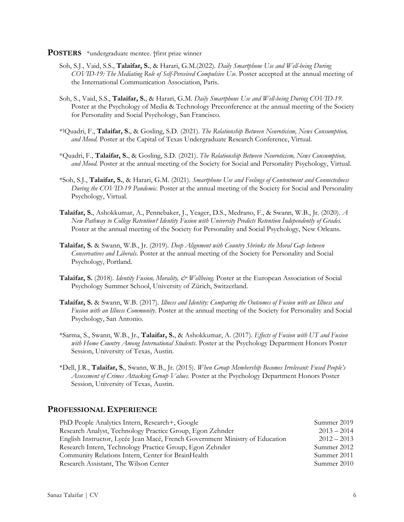#### **POSTERS** \*undergraduate mentee. †first prize winner

- Soh, S.J., Vaid, S.S., **Talaifar, S.**, & Harari, G.M.(2022). *Daily Smartphone Use and Well-being During COVID-19: The Mediating Role of Self-Perceived Compulsive Use.* Poster accepted at the annual meeting of the International Communication Association, Paris.
- Soh, S., Vaid, S.S., **Talaifar, S.**, & Harari, G.M. *Daily Smartphone Use and Well-being During COVID-19.* Poster at the Psychology of Media & Technology Preconference at the annual meeting of the Society for Personality and Social Psychology, San Francisco.
- \* †Quadri, F., **Talaifar, S.**, & Gosling, S.D. (2021). *The Relationship Between Neuroticism, News Consumption, and Mood*. Poster at the Capital of Texas Undergraduate Research Conference, Virtual.
- \*Quadri, F., **Talaifar, S.**, & Gosling, S.D. (2021). *The Relationship Between Neuroticism, News Consumption, and Mood*. Poster at the annual meeting of the Society for Social and Personality Psychology, Virtual.
- \*Soh, S.J., **Talaifar, S.**, & Harari, G.M. (2021). *Smartphone Use and Feelings of Contentment and Connectedness During the COVID-19 Pandemic*. Poster at the annual meeting of the Society for Social and Personality Psychology, Virtual.
- **Talaifar, S.**, Ashokkumar, A., Pennebaker, J., Yeager, D.S., Medrano, F., & Swann, W.B., Jr. (2020). *A New Pathway to College Retention? Identity Fusion with University Predicts Retention Independently of Grades.* Poster at the annual meeting of the Society for Personality and Social Psychology, New Orleans.
- **Talaifar, S.** & Swann, W.B., Jr. (2019). *Deep Alignment with Country Shrinks the Moral Gap between Conservatives and Liberals*. Poster at the annual meeting of the Society for Personality and Social Psychology, Portland.
- **Talaifar, S.** (2018). *Identity Fusion, Morality, & Wellbeing*. Poster at the European Association of Social Psychology Summer School, University of Zürich, Switzerland.
- **Talaifar, S.** & Swann, W.B. (2017). *Illness and Identity: Comparing the Outcomes of Fusion with an Illness and Fusion with an Illness Community*. Poster at the annual meeting of the Society for Personality and Social Psychology, San Antonio.
- \*Sarma, S., Swann, W.B., Jr., **Talaifar, S.**, & Ashokkumar, A. (2017)*. Effects of Fusion with UT and Fusion with Home Country Among International Students*. Poster at the Psychology Department Honors Poster Session, University of Texas, Austin.
- \*Dell, J.R., **Talaifar, S.**, Swann, W.B., Jr. (2015). *When Group Membership Becomes Irrelevant: Fused People's Assessment of Crimes Attacking Group Values.* Poster at the Psychology Department Honors Poster Session, University of Texas, Austin.

# **PROFESSIONAL EXPERIENCE**

| PhD People Analytics Intern, Research+, Google                               | Summer 2019   |
|------------------------------------------------------------------------------|---------------|
| Research Analyst, Technology Practice Group, Egon Zehnder                    | $2013 - 2014$ |
| English Instructor, Lycée Jean Macé, French Government Ministry of Education | $2012 - 2013$ |
| Research Intern, Technology Practice Group, Egon Zehnder                     | Summer 2012   |
| Community Relations Intern, Center for BrainHealth                           | Summer 2011   |
| Research Assistant, The Wilson Center                                        | Summer 2010   |